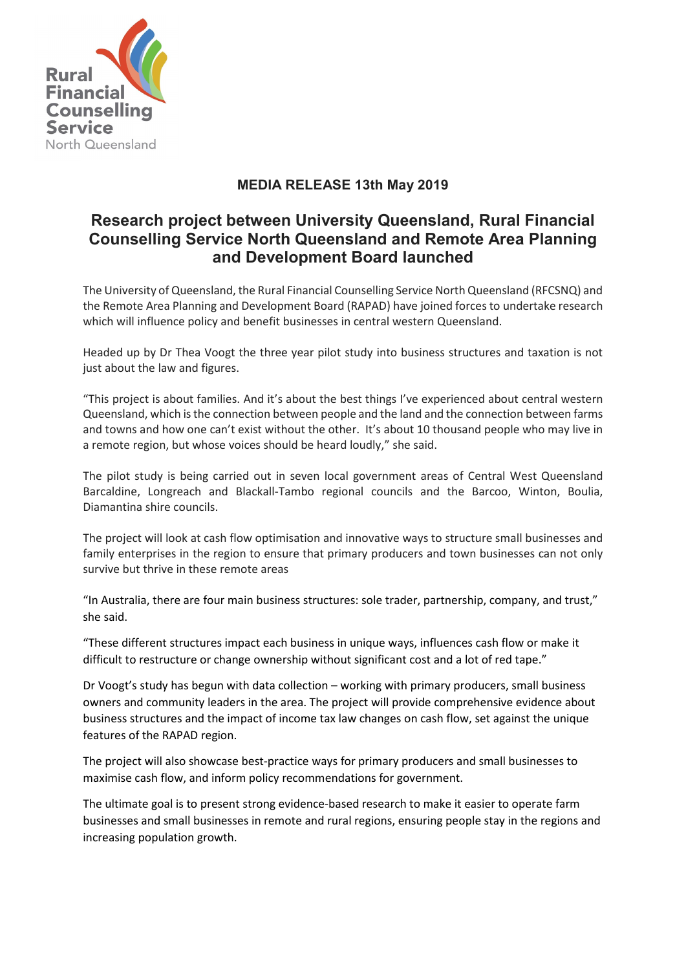

## **MEDIA RELEASE 13th May 2019**

## **Research project between University Queensland, Rural Financial Counselling Service North Queensland and Remote Area Planning and Development Board launched**

The University of Queensland, the Rural Financial Counselling Service North Queensland (RFCSNQ) and the Remote Area Planning and Development Board (RAPAD) have joined forces to undertake research which will influence policy and benefit businesses in central western Queensland.

Headed up by Dr Thea Voogt the three year pilot study into business structures and taxation is not just about the law and figures.

"This project is about families. And it's about the best things I've experienced about central western Queensland, which is the connection between people and the land and the connection between farms and towns and how one can't exist without the other. It's about 10 thousand people who may live in a remote region, but whose voices should be heard loudly," she said.

The pilot study is being carried out in seven local government areas of Central West Queensland Barcaldine, Longreach and Blackall-Tambo regional councils and the Barcoo, Winton, Boulia, Diamantina shire councils.

The project will look at cash flow optimisation and innovative ways to structure small businesses and family enterprises in the region to ensure that primary producers and town businesses can not only survive but thrive in these remote areas

"In Australia, there are four main business structures: sole trader, partnership, company, and trust," she said.

"These different structures impact each business in unique ways, influences cash flow or make it difficult to restructure or change ownership without significant cost and a lot of red tape."

Dr Voogt's study has begun with data collection – working with primary producers, small business owners and community leaders in the area. The project will provide comprehensive evidence about business structures and the impact of income tax law changes on cash flow, set against the unique features of the RAPAD region.

The project will also showcase best-practice ways for primary producers and small businesses to maximise cash flow, and inform policy recommendations for government.

The ultimate goal is to present strong evidence-based research to make it easier to operate farm businesses and small businesses in remote and rural regions, ensuring people stay in the regions and increasing population growth.